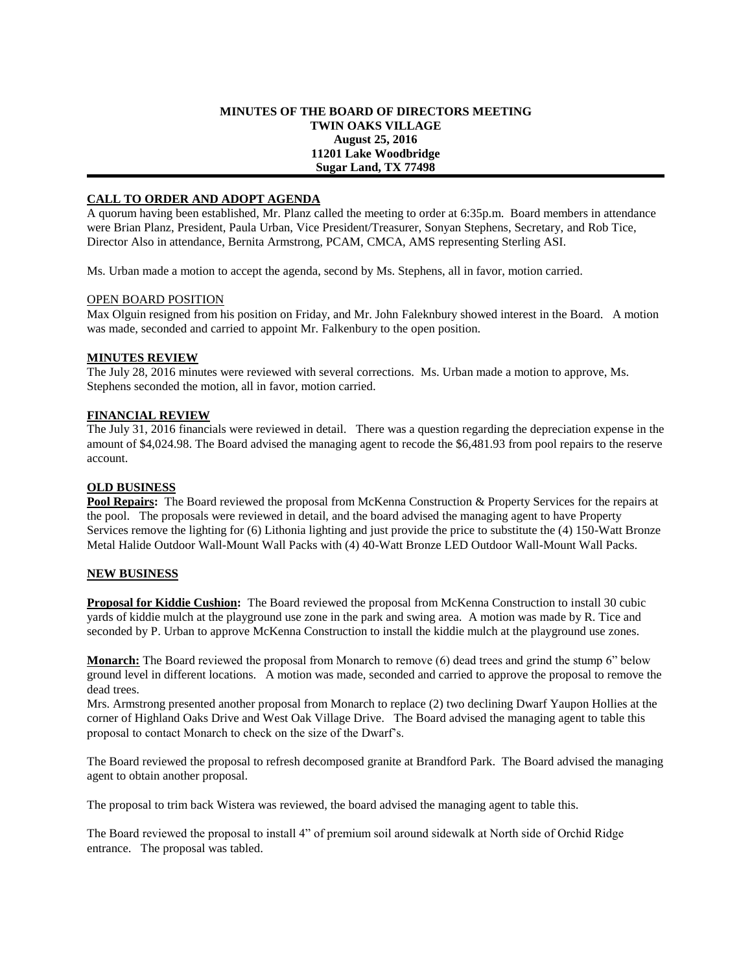# **MINUTES OF THE BOARD OF DIRECTORS MEETING TWIN OAKS VILLAGE August 25, 2016 11201 Lake Woodbridge Sugar Land, TX 77498**

# **CALL TO ORDER AND ADOPT AGENDA**

A quorum having been established, Mr. Planz called the meeting to order at 6:35p.m. Board members in attendance were Brian Planz, President, Paula Urban, Vice President/Treasurer, Sonyan Stephens, Secretary, and Rob Tice, Director Also in attendance, Bernita Armstrong, PCAM, CMCA, AMS representing Sterling ASI.

Ms. Urban made a motion to accept the agenda, second by Ms. Stephens, all in favor, motion carried.

#### OPEN BOARD POSITION

Max Olguin resigned from his position on Friday, and Mr. John Faleknbury showed interest in the Board. A motion was made, seconded and carried to appoint Mr. Falkenbury to the open position.

# **MINUTES REVIEW**

The July 28, 2016 minutes were reviewed with several corrections. Ms. Urban made a motion to approve, Ms. Stephens seconded the motion, all in favor, motion carried.

# **FINANCIAL REVIEW**

The July 31, 2016 financials were reviewed in detail. There was a question regarding the depreciation expense in the amount of \$4,024.98. The Board advised the managing agent to recode the \$6,481.93 from pool repairs to the reserve account.

#### **OLD BUSINESS**

**Pool Repairs:** The Board reviewed the proposal from McKenna Construction & Property Services for the repairs at the pool. The proposals were reviewed in detail, and the board advised the managing agent to have Property Services remove the lighting for (6) Lithonia lighting and just provide the price to substitute the (4) 150-Watt Bronze Metal Halide Outdoor Wall-Mount Wall Packs with (4) 40-Watt Bronze LED Outdoor Wall-Mount Wall Packs.

#### **NEW BUSINESS**

**Proposal for Kiddie Cushion:** The Board reviewed the proposal from McKenna Construction to install 30 cubic yards of kiddie mulch at the playground use zone in the park and swing area. A motion was made by R. Tice and seconded by P. Urban to approve McKenna Construction to install the kiddie mulch at the playground use zones.

**Monarch:** The Board reviewed the proposal from Monarch to remove (6) dead trees and grind the stump 6" below ground level in different locations. A motion was made, seconded and carried to approve the proposal to remove the dead trees.

Mrs. Armstrong presented another proposal from Monarch to replace (2) two declining Dwarf Yaupon Hollies at the corner of Highland Oaks Drive and West Oak Village Drive. The Board advised the managing agent to table this proposal to contact Monarch to check on the size of the Dwarf's.

The Board reviewed the proposal to refresh decomposed granite at Brandford Park. The Board advised the managing agent to obtain another proposal.

The proposal to trim back Wistera was reviewed, the board advised the managing agent to table this.

The Board reviewed the proposal to install 4" of premium soil around sidewalk at North side of Orchid Ridge entrance. The proposal was tabled.